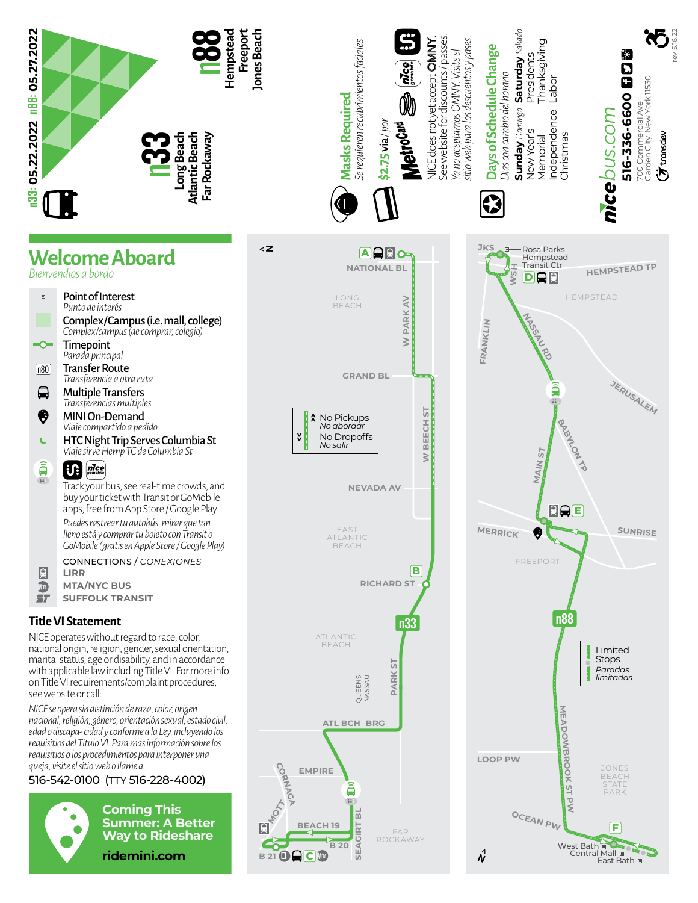